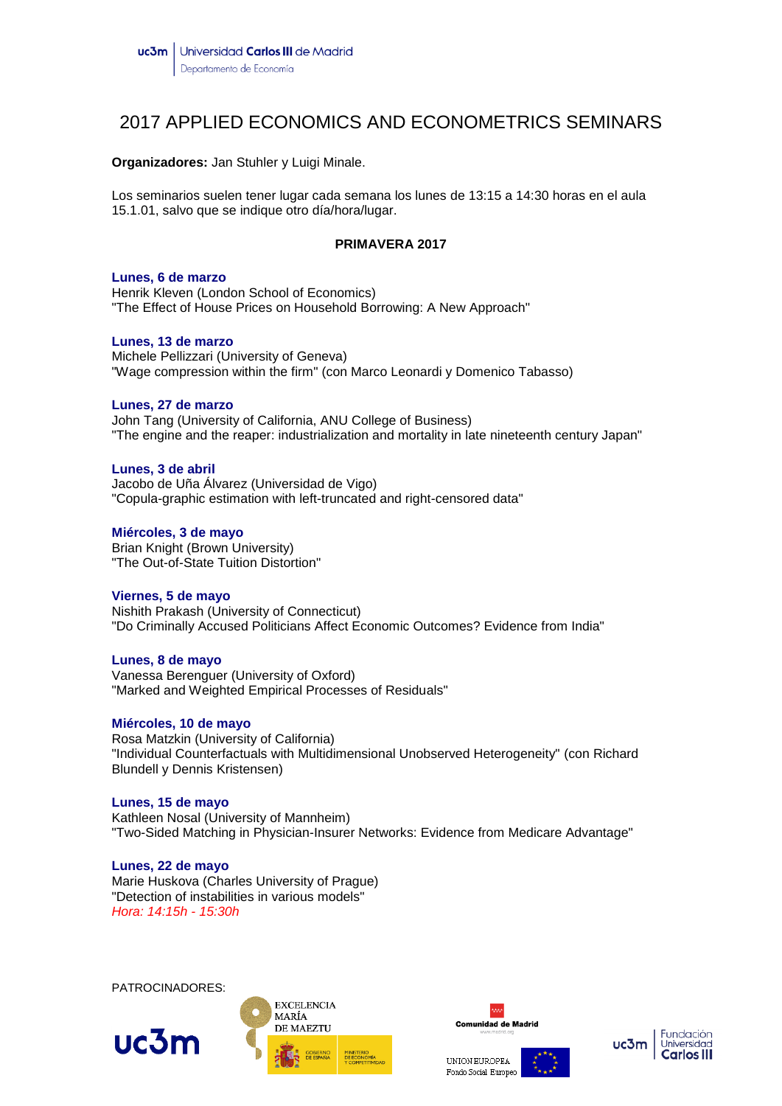# 2017 APPLIED ECONOMICS AND ECONOMETRICS SEMINARS

**Organizadores:** Jan Stuhler y Luigi Minale.

Los seminarios suelen tener lugar cada semana los lunes de 13:15 a 14:30 horas en el aula 15.1.01, salvo que se indique otro día/hora/lugar.

# **PRIMAVERA 2017**

## **Lunes, 6 de marzo**

Henrik Kleven (London School of Economics) "The Effect of House Prices on Household Borrowing: A New Approach"

# **Lunes, 13 de marzo**

Michele Pellizzari (University of Geneva) "Wage compression within the firm" (con Marco Leonardi y Domenico Tabasso)

# **Lunes, 27 de marzo**

John Tang (University of California, ANU College of Business) "The engine and the reaper: industrialization and mortality in late nineteenth century Japan"

# **Lunes, 3 de abril**

Jacobo de Uña Álvarez (Universidad de Vigo) "Copula-graphic estimation with left-truncated and right-censored data"

# **Miércoles, 3 de mayo**

Brian Knight (Brown University) "The Out-of-State Tuition Distortion"

# **Viernes, 5 de mayo**

Nishith Prakash (University of Connecticut) "Do Criminally Accused Politicians Affect Economic Outcomes? Evidence from India"

# **Lunes, 8 de mayo**

Vanessa Berenguer (University of Oxford) "Marked and Weighted Empirical Processes of Residuals"

# **Miércoles, 10 de mayo**

Rosa Matzkin (University of California) "Individual Counterfactuals with Multidimensional Unobserved Heterogeneity" (con Richard Blundell y Dennis Kristensen)

# **Lunes, 15 de mayo**

Kathleen Nosal (University of Mannheim) "Two-Sided Matching in Physician-Insurer Networks: Evidence from Medicare Advantage"

**Lunes, 22 de mayo** Marie Huskova (Charles University of Prague) "Detection of instabilities in various models" *Hora: 14:15h - 15:30h*

PATROCINADORES:







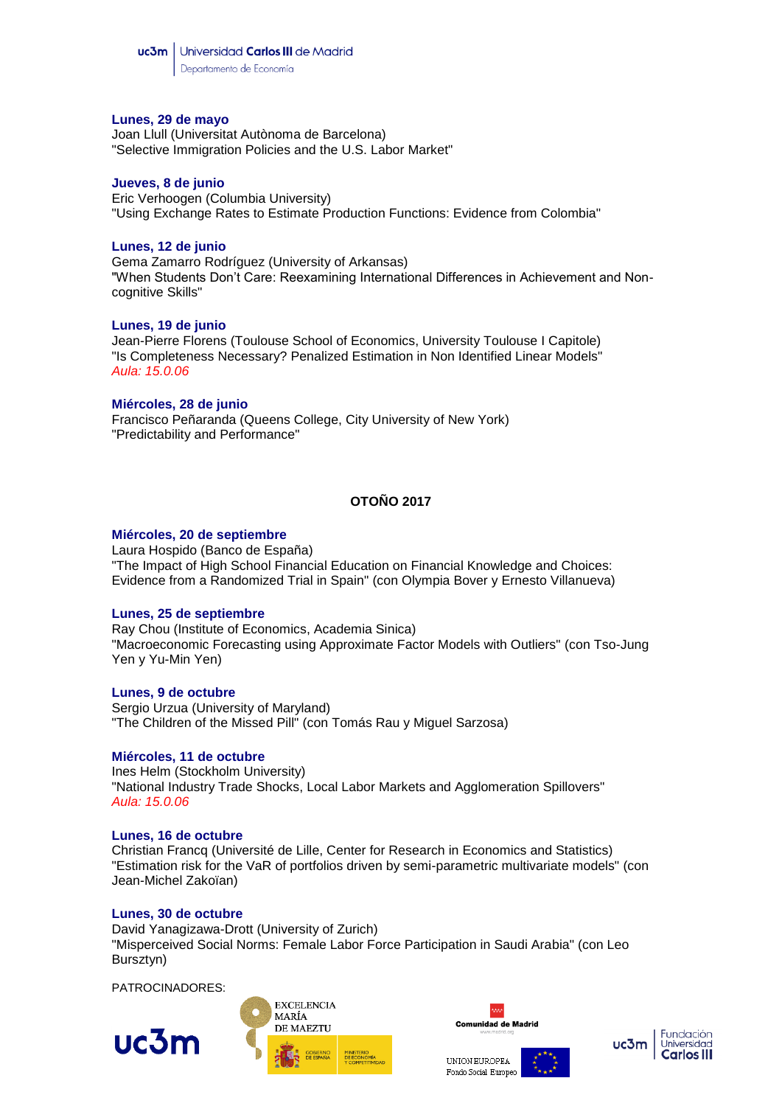## **Lunes, 29 de mayo**

Joan Llull (Universitat Autònoma de Barcelona) "Selective Immigration Policies and the U.S. Labor Market"

#### **Jueves, 8 de junio**

Eric Verhoogen (Columbia University) "Using Exchange Rates to Estimate Production Functions: Evidence from Colombia"

## **Lunes, 12 de junio**

Gema Zamarro Rodríguez (University of Arkansas) "When Students Don't Care: Reexamining International Differences in Achievement and Noncognitive Skills"

#### **Lunes, 19 de junio**

Jean-Pierre Florens (Toulouse School of Economics, University Toulouse I Capitole) "Is Completeness Necessary? Penalized Estimation in Non Identified Linear Models" *Aula: 15.0.06*

#### **Miércoles, 28 de junio**

Francisco Peñaranda (Queens College, City University of New York) "Predictability and Performance"

# **OTOÑO 2017**

#### **Miércoles, 20 de septiembre**

Laura Hospido (Banco de España) "The Impact of High School Financial Education on Financial Knowledge and Choices: Evidence from a Randomized Trial in Spain" (con Olympia Bover y Ernesto Villanueva)

# **Lunes, 25 de septiembre**

Ray Chou (Institute of Economics, Academia Sinica) "Macroeconomic Forecasting using Approximate Factor Models with Outliers" (con Tso-Jung Yen y Yu-Min Yen)

#### **Lunes, 9 de octubre**

Sergio Urzua (University of Maryland) "The Children of the Missed Pill" (con Tomás Rau y Miguel Sarzosa)

#### **Miércoles, 11 de octubre**

Ines Helm (Stockholm University) "National Industry Trade Shocks, Local Labor Markets and Agglomeration Spillovers" *Aula: 15.0.06*

#### **Lunes, 16 de octubre**

Christian Francq (Université de Lille, Center for Research in Economics and Statistics) "Estimation risk for the VaR of portfolios driven by semi-parametric multivariate models" (con Jean-Michel Zakoïan)

#### **Lunes, 30 de octubre**

David Yanagizawa-Drott (University of Zurich) "Misperceived Social Norms: Female Labor Force Participation in Saudi Arabia" (con Leo Bursztyn)

PATROCINADORES: